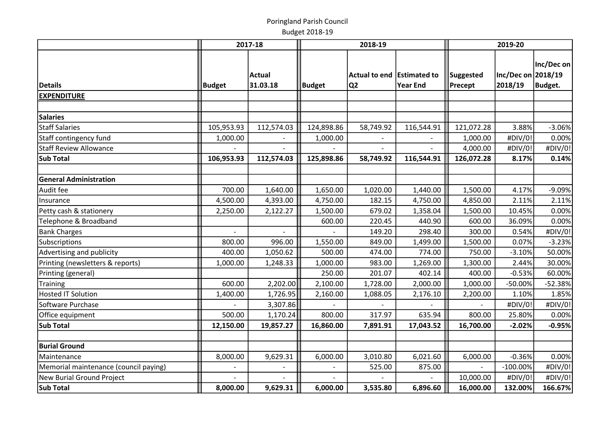|                                       |               | 2017-18            |               | 2018-19                                      |                 | 2019-20              |                               |                       |  |  |
|---------------------------------------|---------------|--------------------|---------------|----------------------------------------------|-----------------|----------------------|-------------------------------|-----------------------|--|--|
| <b>Details</b>                        | <b>Budget</b> | Actual<br>31.03.18 | <b>Budget</b> | Actual to end Estimated to<br>Q <sub>2</sub> | <b>Year End</b> | Suggested<br>Precept | Inc/Dec on 2018/19<br>2018/19 | Inc/Dec on<br>Budget. |  |  |
| <b>EXPENDITURE</b>                    |               |                    |               |                                              |                 |                      |                               |                       |  |  |
|                                       |               |                    |               |                                              |                 |                      |                               |                       |  |  |
| <b>Salaries</b>                       |               |                    |               |                                              |                 |                      |                               |                       |  |  |
| <b>Staff Salaries</b>                 | 105,953.93    | 112,574.03         | 124,898.86    | 58,749.92                                    | 116,544.91      | 121,072.28           | 3.88%                         | $-3.06%$              |  |  |
| Staff contingency fund                | 1,000.00      |                    | 1,000.00      |                                              |                 | 1,000.00             | #DIV/0!                       | 0.00%                 |  |  |
| <b>Staff Review Allowance</b>         |               |                    |               |                                              |                 | 4,000.00             | #DIV/0!                       | #DIV/0!               |  |  |
| <b>Sub Total</b>                      | 106,953.93    | 112,574.03         | 125,898.86    | 58,749.92                                    | 116,544.91      | 126,072.28           | 8.17%                         | 0.14%                 |  |  |
| <b>General Administration</b>         |               |                    |               |                                              |                 |                      |                               |                       |  |  |
| Audit fee                             | 700.00        | 1,640.00           | 1,650.00      | 1,020.00                                     | 1,440.00        | 1,500.00             | 4.17%                         | $-9.09%$              |  |  |
| Insurance                             | 4,500.00      | 4,393.00           | 4,750.00      | 182.15                                       | 4,750.00        | 4,850.00             | 2.11%                         | 2.11%                 |  |  |
| Petty cash & stationery               | 2,250.00      | 2,122.27           | 1,500.00      | 679.02                                       | 1,358.04        | 1,500.00             | 10.45%                        | 0.00%                 |  |  |
| Telephone & Broadband                 |               |                    | 600.00        | 220.45                                       | 440.90          | 600.00               | 36.09%                        | 0.00%                 |  |  |
| <b>Bank Charges</b>                   |               |                    |               | 149.20                                       | 298.40          | 300.00               | 0.54%                         | #DIV/0!               |  |  |
| Subscriptions                         | 800.00        | 996.00             | 1,550.00      | 849.00                                       | 1,499.00        | 1,500.00             | 0.07%                         | $-3.23%$              |  |  |
| Advertising and publicity             | 400.00        | 1,050.62           | 500.00        | 474.00                                       | 774.00          | 750.00               | $-3.10%$                      | 50.00%                |  |  |
| Printing (newsletters & reports)      | 1,000.00      | 1,248.33           | 1,000.00      | 983.00                                       | 1,269.00        | 1,300.00             | 2.44%                         | 30.00%                |  |  |
| Printing (general)                    |               |                    | 250.00        | 201.07                                       | 402.14          | 400.00               | $-0.53%$                      | 60.00%                |  |  |
| Training                              | 600.00        | 2,202.00           | 2,100.00      | 1,728.00                                     | 2,000.00        | 1,000.00             | -50.00%                       | $-52.38%$             |  |  |
| <b>Hosted IT Solution</b>             | 1,400.00      | 1,726.95           | 2,160.00      | 1,088.05                                     | 2,176.10        | 2,200.00             | 1.10%                         | 1.85%                 |  |  |
| Software Purchase                     |               | 3,307.86           |               |                                              |                 |                      | #DIV/0!                       | #DIV/0!               |  |  |
| Office equipment                      | 500.00        | 1,170.24           | 800.00        | 317.97                                       | 635.94          | 800.00               | 25.80%                        | 0.00%                 |  |  |
| <b>Sub Total</b>                      | 12,150.00     | 19,857.27          | 16,860.00     | 7,891.91                                     | 17,043.52       | 16,700.00            | $-2.02%$                      | $-0.95%$              |  |  |
|                                       |               |                    |               |                                              |                 |                      |                               |                       |  |  |
| <b>Burial Ground</b>                  |               |                    |               |                                              |                 |                      |                               |                       |  |  |
| Maintenance                           | 8,000.00      | 9,629.31           | 6,000.00      | 3,010.80                                     | 6,021.60        | 6,000.00             | $-0.36%$                      | 0.00%                 |  |  |
| Memorial maintenance (council paying) |               |                    |               | 525.00                                       | 875.00          |                      | $-100.00%$                    | #DIV/0!               |  |  |
| New Burial Ground Project             |               |                    |               |                                              |                 | 10,000.00            | #DIV/0!                       | #DIV/0!               |  |  |
| Sub Total                             | 8,000.00      | 9,629.31           | 6,000.00      | 3,535.80                                     | 6,896.60        | 16,000.00            | 132.00%                       | 166.67%               |  |  |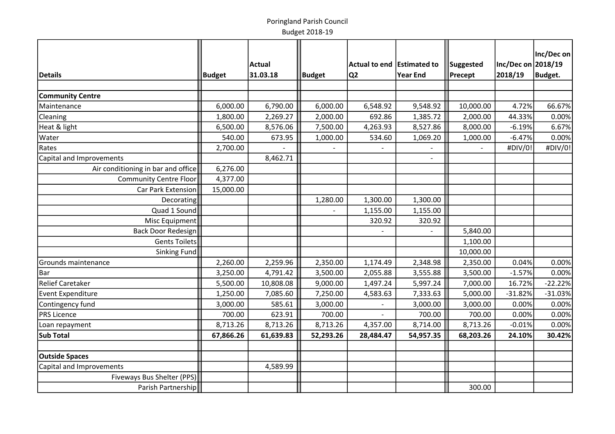|                                    |               |           |               |                            |                 |           |                    | Inc/Dec on |
|------------------------------------|---------------|-----------|---------------|----------------------------|-----------------|-----------|--------------------|------------|
|                                    |               | Actual    |               | Actual to end Estimated to |                 | Suggested | Inc/Dec on 2018/19 |            |
| Details                            | <b>Budget</b> | 31.03.18  | <b>Budget</b> | Q <sub>2</sub>             | <b>Year End</b> | Precept   | 2018/19            | Budget.    |
|                                    |               |           |               |                            |                 |           |                    |            |
| <b>Community Centre</b>            |               |           |               |                            |                 |           |                    |            |
| Maintenance                        | 6,000.00      | 6,790.00  | 6,000.00      | 6,548.92                   | 9,548.92        | 10,000.00 | 4.72%              | 66.67%     |
| Cleaning                           | 1,800.00      | 2,269.27  | 2,000.00      | 692.86                     | 1,385.72        | 2,000.00  | 44.33%             | 0.00%      |
| Heat & light                       | 6,500.00      | 8,576.06  | 7,500.00      | 4,263.93                   | 8,527.86        | 8,000.00  | $-6.19%$           | 6.67%      |
| Water                              | 540.00        | 673.95    | 1,000.00      | 534.60                     | 1,069.20        | 1,000.00  | $-6.47%$           | 0.00%      |
| Rates                              | 2,700.00      |           |               |                            |                 |           | #DIV/0!            | #DIV/0!    |
| Capital and Improvements           |               | 8,462.71  |               |                            |                 |           |                    |            |
| Air conditioning in bar and office | 6,276.00      |           |               |                            |                 |           |                    |            |
| Community Centre Floor             | 4,377.00      |           |               |                            |                 |           |                    |            |
| Car Park Extension                 | 15,000.00     |           |               |                            |                 |           |                    |            |
| Decorating                         |               |           | 1,280.00      | 1,300.00                   | 1,300.00        |           |                    |            |
| Quad 1 Sound                       |               |           |               | 1,155.00                   | 1,155.00        |           |                    |            |
| Misc Equipment                     |               |           |               | 320.92                     | 320.92          |           |                    |            |
| Back Door Redesign                 |               |           |               |                            |                 | 5,840.00  |                    |            |
| Gents Toilets                      |               |           |               |                            |                 | 1,100.00  |                    |            |
| Sinking Fund                       |               |           |               |                            |                 | 10,000.00 |                    |            |
| Grounds maintenance                | 2,260.00      | 2,259.96  | 2,350.00      | 1,174.49                   | 2,348.98        | 2,350.00  | 0.04%              | 0.00%      |
| Bar                                | 3,250.00      | 4,791.42  | 3,500.00      | 2,055.88                   | 3,555.88        | 3,500.00  | $-1.57%$           | 0.00%      |
| <b>Relief Caretaker</b>            | 5,500.00      | 10,808.08 | 9,000.00      | 1,497.24                   | 5,997.24        | 7,000.00  | 16.72%             | $-22.22%$  |
| <b>Event Expenditure</b>           | 1,250.00      | 7,085.60  | 7,250.00      | 4,583.63                   | 7,333.63        | 5,000.00  | $-31.82%$          | $-31.03%$  |
| Contingency fund                   | 3,000.00      | 585.61    | 3,000.00      |                            | 3,000.00        | 3,000.00  | 0.00%              | 0.00%      |
| <b>PRS Licence</b>                 | 700.00        | 623.91    | 700.00        |                            | 700.00          | 700.00    | 0.00%              | 0.00%      |
| Loan repayment                     | 8,713.26      | 8,713.26  | 8,713.26      | 4,357.00                   | 8,714.00        | 8,713.26  | $-0.01%$           | 0.00%      |
| <b>Sub Total</b>                   | 67,866.26     | 61,639.83 | 52,293.26     | 28,484.47                  | 54,957.35       | 68,203.26 | 24.10%             | 30.42%     |
|                                    |               |           |               |                            |                 |           |                    |            |
| <b>Outside Spaces</b>              |               |           |               |                            |                 |           |                    |            |
| Capital and Improvements           |               | 4,589.99  |               |                            |                 |           |                    |            |
| Fiveways Bus Shelter (PPS)         |               |           |               |                            |                 |           |                    |            |
| Parish Partnership                 |               |           |               |                            |                 | 300.00    |                    |            |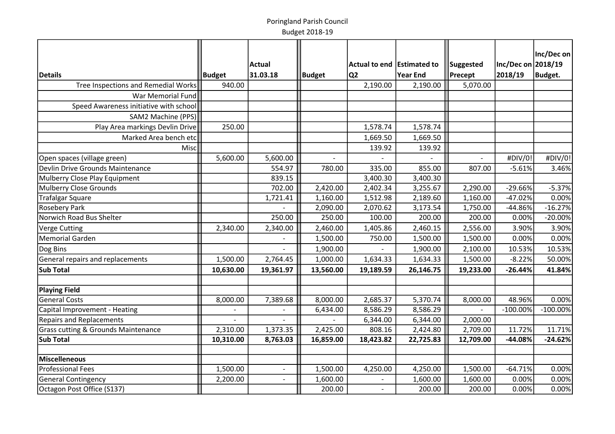|                                                |           |                          |           |                            |           |           |                    | Inc/Dec on     |
|------------------------------------------------|-----------|--------------------------|-----------|----------------------------|-----------|-----------|--------------------|----------------|
|                                                |           | Actual                   |           | Actual to end Estimated to |           | Suggested | Inc/Dec on 2018/19 |                |
| Details                                        | Budget    | 31.03.18                 | Budget    | Q <sub>2</sub>             | Year End  | Precept   | 2018/19            | <b>Budget.</b> |
| Tree Inspections and Remedial Works            | 940.00    |                          |           | 2,190.00                   | 2,190.00  | 5,070.00  |                    |                |
| War Memorial Fund                              |           |                          |           |                            |           |           |                    |                |
| Speed Awareness initiative with school         |           |                          |           |                            |           |           |                    |                |
| SAM2 Machine (PPS)                             |           |                          |           |                            |           |           |                    |                |
| Play Area markings Devlin Drive                | 250.00    |                          |           | 1,578.74                   | 1,578.74  |           |                    |                |
| Marked Area bench etc                          |           |                          |           | 1,669.50                   | 1,669.50  |           |                    |                |
| Misc                                           |           |                          |           | 139.92                     | 139.92    |           |                    |                |
| Open spaces (village green)                    | 5,600.00  | 5,600.00                 |           |                            |           |           | #DIV/0!            | #DIV/0!        |
| Devlin Drive Grounds Maintenance               |           | 554.97                   | 780.00    | 335.00                     | 855.00    | 807.00    | $-5.61%$           | 3.46%          |
| Mulberry Close Play Equipment                  |           | 839.15                   |           | 3,400.30                   | 3,400.30  |           |                    |                |
| <b>Mulberry Close Grounds</b>                  |           | 702.00                   | 2,420.00  | 2,402.34                   | 3,255.67  | 2,290.00  | $-29.66%$          | $-5.37%$       |
| <b>Trafalgar Square</b>                        |           | 1,721.41                 | 1,160.00  | 1,512.98                   | 2,189.60  | 1,160.00  | $-47.02%$          | 0.00%          |
| <b>Rosebery Park</b>                           |           |                          | 2,090.00  | 2,070.62                   | 3,173.54  | 1,750.00  | -44.86%            | $-16.27%$      |
| Norwich Road Bus Shelter                       |           | 250.00                   | 250.00    | 100.00                     | 200.00    | 200.00    | 0.00%              | $-20.00%$      |
| Verge Cutting                                  | 2,340.00  | 2,340.00                 | 2,460.00  | 1,405.86                   | 2,460.15  | 2,556.00  | 3.90%              | 3.90%          |
| Memorial Garden                                |           |                          | 1,500.00  | 750.00                     | 1,500.00  | 1,500.00  | 0.00%              | 0.00%          |
| Dog Bins                                       |           |                          | 1,900.00  |                            | 1,900.00  | 2,100.00  | 10.53%             | 10.53%         |
| General repairs and replacements               | 1,500.00  | 2,764.45                 | 1,000.00  | 1,634.33                   | 1,634.33  | 1,500.00  | $-8.22%$           | 50.00%         |
| <b>Sub Total</b>                               | 10,630.00 | 19,361.97                | 13,560.00 | 19,189.59                  | 26,146.75 | 19,233.00 | $-26.44%$          | 41.84%         |
|                                                |           |                          |           |                            |           |           |                    |                |
| Playing Field                                  |           |                          |           |                            |           |           |                    |                |
| <b>General Costs</b>                           | 8,000.00  | 7,389.68                 | 8,000.00  | 2,685.37                   | 5,370.74  | 8,000.00  | 48.96%             | 0.00%          |
| Capital Improvement - Heating                  |           |                          | 6,434.00  | 8,586.29                   | 8,586.29  |           | $-100.00%$         | $-100.00%$     |
| <b>Repairs and Replacements</b>                |           |                          |           | 6,344.00                   | 6,344.00  | 2,000.00  |                    |                |
| <b>Grass cutting &amp; Grounds Maintenance</b> | 2,310.00  | 1,373.35                 | 2,425.00  | 808.16                     | 2,424.80  | 2,709.00  | 11.72%             | 11.71%         |
| <b>Sub Total</b>                               | 10,310.00 | 8,763.03                 | 16,859.00 | 18,423.82                  | 22,725.83 | 12,709.00 | -44.08%            | $-24.62%$      |
| Miscelleneous                                  |           |                          |           |                            |           |           |                    |                |
| <b>Professional Fees</b>                       | 1,500.00  | $\overline{\phantom{a}}$ | 1,500.00  | 4,250.00                   | 4,250.00  | 1,500.00  | $-64.71%$          | 0.00%          |
| <b>General Contingency</b>                     | 2,200.00  | $\sim$                   | 1,600.00  |                            | 1,600.00  | 1,600.00  | 0.00%              | 0.00%          |
| Octagon Post Office (S137)                     |           |                          | 200.00    | $\overline{\phantom{a}}$   | 200.00    | 200.00    | 0.00%              | 0.00%          |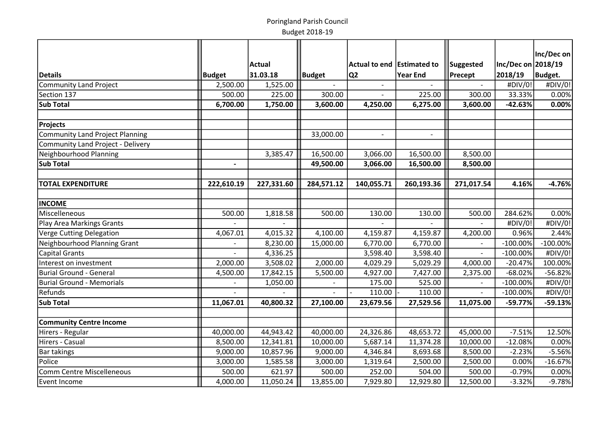|                                        |               | <b>Actual</b> |               | Actual to end   Estimated to |                 |                  | Inc/Dec on 2018/19 | Inc/Dec on     |
|----------------------------------------|---------------|---------------|---------------|------------------------------|-----------------|------------------|--------------------|----------------|
|                                        |               | 31.03.18      |               |                              | <b>Year End</b> | <b>Suggested</b> | 2018/19            | <b>Budget.</b> |
| Details                                | <b>Budget</b> |               | <b>Budget</b> | Q <sub>2</sub>               |                 | Precept          |                    |                |
| Community Land Project                 | 2,500.00      | 1,525.00      |               |                              |                 |                  | #DIV/0!            | #DIV/0!        |
| Section 137                            | 500.00        | 225.00        | 300.00        | $\overline{a}$               | 225.00          | 300.00           | 33.33%             | 0.00%          |
| <b>Sub Total</b>                       | 6,700.00      | 1,750.00      | 3,600.00      | 4,250.00                     | 6,275.00        | 3,600.00         | $-42.63%$          | 0.00%          |
| <b>Projects</b>                        |               |               |               |                              |                 |                  |                    |                |
| <b>Community Land Project Planning</b> |               |               | 33,000.00     | $\blacksquare$               | $\blacksquare$  |                  |                    |                |
| Community Land Project - Delivery      |               |               |               |                              |                 |                  |                    |                |
| Neighbourhood Planning                 |               | 3,385.47      | 16,500.00     | 3,066.00                     | 16,500.00       | 8,500.00         |                    |                |
| Sub Total                              |               |               | 49,500.00     | 3,066.00                     | 16,500.00       | 8,500.00         |                    |                |
| <b>TOTAL EXPENDITURE</b>               | 222,610.19    | 227,331.60    | 284,571.12    | 140,055.71                   | 260,193.36      | 271,017.54       | 4.16%              | $-4.76%$       |
|                                        |               |               |               |                              |                 |                  |                    |                |
| <b>INCOME</b>                          |               |               |               |                              |                 |                  |                    |                |
| Miscelleneous                          | 500.00        | 1,818.58      | 500.00        | 130.00                       | 130.00          | 500.00           | 284.62%            | 0.00%          |
| Play Area Markings Grants              |               |               |               |                              |                 |                  | #DIV/0!            | #DIV/0!        |
| Verge Cutting Delegation               | 4,067.01      | 4,015.32      | 4,100.00      | 4,159.87                     | 4,159.87        | 4,200.00         | 0.96%              | 2.44%          |
| Neighbourhood Planning Grant           |               | 8,230.00      | 15,000.00     | 6,770.00                     | 6,770.00        |                  | $-100.00%$         | $-100.00%$     |
| Capital Grants                         |               | 4,336.25      |               | 3,598.40                     | 3,598.40        | $\overline{a}$   | $-100.00%$         | #DIV/0!        |
| Interest on investment                 | 2,000.00      | 3,508.02      | 2,000.00      | 4,029.29                     | 5,029.29        | 4,000.00         | $-20.47%$          | 100.00%        |
| Burial Ground - General                | 4,500.00      | 17,842.15     | 5,500.00      | 4,927.00                     | 7,427.00        | 2,375.00         | $-68.02%$          | $-56.82%$      |
| <b>Burial Ground - Memorials</b>       |               | 1,050.00      |               | 175.00                       | 525.00          |                  | $-100.00%$         | #DIV/0!        |
| <b>Refunds</b>                         |               |               |               | 110.00                       | 110.00          |                  | $-100.00%$         | #DIV/0!        |
| Sub Total                              | 11,067.01     | 40,800.32     | 27,100.00     | 23,679.56                    | 27,529.56       | 11,075.00        | $-59.77%$          | $-59.13%$      |
| <b>Community Centre Income</b>         |               |               |               |                              |                 |                  |                    |                |
| Hirers - Regular                       | 40,000.00     | 44,943.42     | 40,000.00     | 24,326.86                    | 48,653.72       | 45,000.00        | $-7.51%$           | 12.50%         |
| Hirers - Casual                        | 8,500.00      | 12,341.81     | 10,000.00     | 5,687.14                     | 11,374.28       | 10,000.00        | $-12.08%$          | 0.00%          |
| <b>Bar takings</b>                     | 9,000.00      | 10,857.96     | 9,000.00      | 4,346.84                     | 8,693.68        | 8,500.00         | $-2.23%$           | $-5.56%$       |
| Police                                 | 3,000.00      | 1,585.58      | 3,000.00      | 1,319.64                     | 2,500.00        | 2,500.00         | 0.00%              | $-16.67%$      |
| <b>Comm Centre Miscelleneous</b>       | 500.00        | 621.97        | 500.00        | 252.00                       | 504.00          | 500.00           | $-0.79%$           | 0.00%          |
| Event Income                           | 4,000.00      | 11,050.24     | 13,855.00     | 7,929.80                     | 12,929.80       | 12,500.00        | $-3.32%$           | $-9.78%$       |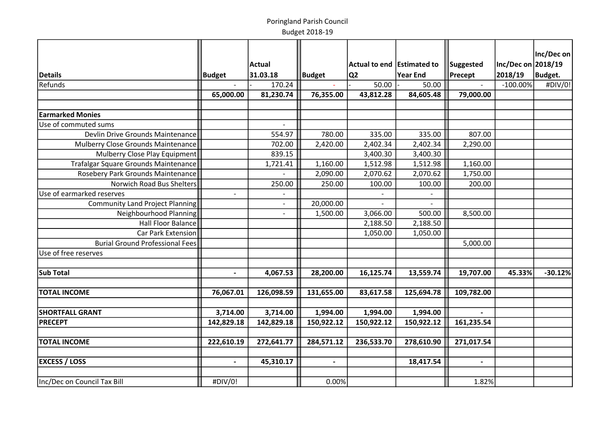|                                        |                | <b>Actual</b>            |                | Actual to end   Estimated to |            |                      | Inc/Dec on 2018/19 | Inc/Dec on |
|----------------------------------------|----------------|--------------------------|----------------|------------------------------|------------|----------------------|--------------------|------------|
|                                        |                | 31.03.18                 |                |                              | Year End   | Suggested<br>Precept | 2018/19            |            |
| <b>Details</b>                         | <b>Budget</b>  |                          | <b>Budget</b>  | Q2                           |            |                      |                    | Budget.    |
| Refunds                                |                | 170.24                   |                | 50.00                        | 50.00      |                      | $-100.00\%$        | #DIV/0!    |
|                                        | 65,000.00      | 81,230.74                | 76,355.00      | 43,812.28                    | 84,605.48  | 79,000.00            |                    |            |
| <b>Earmarked Monies</b>                |                |                          |                |                              |            |                      |                    |            |
| Use of commuted sums                   |                |                          |                |                              |            |                      |                    |            |
|                                        |                |                          |                |                              |            |                      |                    |            |
| Devlin Drive Grounds Maintenance       |                | 554.97                   | 780.00         | 335.00                       | 335.00     | 807.00               |                    |            |
| Mulberry Close Grounds Maintenance     |                | 702.00                   | 2,420.00       | 2,402.34                     | 2,402.34   | 2,290.00             |                    |            |
| Mulberry Close Play Equipment          |                | 839.15                   |                | 3,400.30                     | 3,400.30   |                      |                    |            |
| Trafalgar Square Grounds Maintenance   |                | 1,721.41                 | 1,160.00       | 1,512.98                     | 1,512.98   | 1,160.00             |                    |            |
| Rosebery Park Grounds Maintenance      |                |                          | 2,090.00       | 2,070.62                     | 2,070.62   | 1,750.00             |                    |            |
| Norwich Road Bus Shelters              |                | 250.00                   | 250.00         | 100.00                       | 100.00     | 200.00               |                    |            |
| Use of earmarked reserves              |                |                          |                |                              |            |                      |                    |            |
| Community Land Project Planning        |                | $\overline{\phantom{a}}$ | 20,000.00      |                              |            |                      |                    |            |
| Neighbourhood Planning                 |                | $\overline{\phantom{0}}$ | 1,500.00       | 3,066.00                     | 500.00     | 8,500.00             |                    |            |
| Hall Floor Balance                     |                |                          |                | 2,188.50                     | 2,188.50   |                      |                    |            |
| Car Park Extension                     |                |                          |                | 1,050.00                     | 1,050.00   |                      |                    |            |
| <b>Burial Ground Professional Fees</b> |                |                          |                |                              |            | 5,000.00             |                    |            |
| Use of free reserves                   |                |                          |                |                              |            |                      |                    |            |
|                                        |                |                          |                |                              |            |                      |                    |            |
| <b>Sub Total</b>                       |                | 4,067.53                 | 28,200.00      | 16,125.74                    | 13,559.74  | 19,707.00            | 45.33%             | $-30.12%$  |
|                                        |                |                          |                |                              |            |                      |                    |            |
| <b>TOTAL INCOME</b>                    | 76,067.01      | 126,098.59               | 131,655.00     | 83,617.58                    | 125,694.78 | 109,782.00           |                    |            |
|                                        |                |                          |                |                              |            |                      |                    |            |
| <b>SHORTFALL GRANT</b>                 | 3,714.00       | 3,714.00                 | 1,994.00       | 1,994.00                     | 1,994.00   |                      |                    |            |
| <b>PRECEPT</b>                         | 142,829.18     | 142,829.18               | 150,922.12     | 150,922.12                   | 150,922.12 | 161,235.54           |                    |            |
|                                        |                |                          |                |                              |            |                      |                    |            |
| <b>TOTAL INCOME</b>                    | 222,610.19     | 272,641.77               | 284,571.12     | 236,533.70                   | 278,610.90 | 271,017.54           |                    |            |
|                                        |                |                          |                |                              |            |                      |                    |            |
| <b>EXCESS / LOSS</b>                   | $\blacksquare$ | 45,310.17                | $\blacksquare$ |                              | 18,417.54  | $\blacksquare$       |                    |            |
|                                        |                |                          |                |                              |            |                      |                    |            |
| Inc/Dec on Council Tax Bill            | #DIV/0!        |                          | 0.00%          |                              |            | 1.82%                |                    |            |